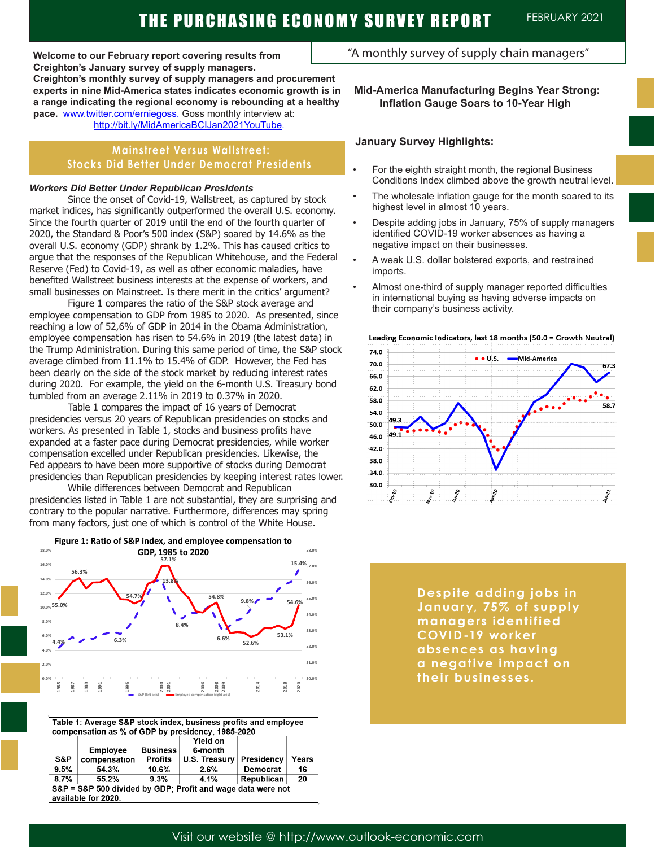**Welcome to our February report covering results from Creighton's January survey of supply managers. Creighton's monthly survey of supply managers and procurement experts in nine Mid-America states indicates economic growth is in a range indicating the regional economy is rebounding at a healthy pace.** www.twitter.com/erniegoss. Goss monthly interview at: http://bit.ly/MidAmericaBCIJan2021YouTube.

# **Mainstreet Versus Wallstreet: Stocks Did Better Under Democrat Presidents**

#### *Workers Did Better Under Republican Presidents*

Since the onset of Covid-19, Wallstreet, as captured by stock market indices, has significantly outperformed the overall U.S. economy. Since the fourth quarter of 2019 until the end of the fourth quarter of 2020, the Standard & Poor's 500 index (S&P) soared by 14.6% as the overall U.S. economy (GDP) shrank by 1.2%. This has caused critics to argue that the responses of the Republican Whitehouse, and the Federal Reserve (Fed) to Covid-19, as well as other economic maladies, have benefited Wallstreet business interests at the expense of workers, and small businesses on Mainstreet. Is there merit in the critics' argument?

Figure 1 compares the ratio of the S&P stock average and employee compensation to GDP from 1985 to 2020. As presented, since reaching a low of 52,6% of GDP in 2014 in the Obama Administration, employee compensation has risen to 54.6% in 2019 (the latest data) in the Trump Administration. During this same period of time, the S&P stock average climbed from 11.1% to 15.4% of GDP. However, the Fed has been clearly on the side of the stock market by reducing interest rates during 2020. For example, the yield on the 6-month U.S. Treasury bond tumbled from an average 2.11% in 2019 to 0.37% in 2020.

Table 1 compares the impact of 16 years of Democrat presidencies versus 20 years of Republican presidencies on stocks and workers. As presented in Table 1, stocks and business profits have expanded at a faster pace during Democrat presidencies, while worker compensation excelled under Republican presidencies. Likewise, the Fed appears to have been more supportive of stocks during Democrat presidencies than Republican presidencies by keeping interest rates lower.

While differences between Democrat and Republican presidencies listed in Table 1 are not substantial, they are surprising and contrary to the popular narrative. Furthermore, differences may spring from many factors, just one of which is control of the White House.



| Table 1: Average S&P stock index, business profits and employee<br>compensation as % of GDP by presidency, 1985-2020 |                 |                 |               |                 |       |
|----------------------------------------------------------------------------------------------------------------------|-----------------|-----------------|---------------|-----------------|-------|
|                                                                                                                      |                 |                 | Yield on      |                 |       |
|                                                                                                                      | <b>Employee</b> | <b>Business</b> | 6-month       |                 |       |
| S&P                                                                                                                  | compensation    | <b>Profits</b>  | U.S. Treasury | Presidency      | Years |
| 9.5%                                                                                                                 | 54.3%           | 10.6%           | 2.6%          | <b>Democrat</b> | 16    |
| 8.7%                                                                                                                 | 55.2%           | 9.3%            | 4.1%          | Republican      | 20    |
| S&P = S&P 500 divided by GDP; Profit and wage data were not                                                          |                 |                 |               |                 |       |
| available for 2020.                                                                                                  |                 |                 |               |                 |       |

"A monthly survey of supply chain managers"

## **Mid-America Manufacturing Begins Year Strong: Inflation Gauge Soars to 10-Year High**

### **January Survey Highlights:**

- For the eighth straight month, the regional Business Conditions Index climbed above the growth neutral level.
- The wholesale inflation gauge for the month soared to its highest level in almost 10 years.
- Despite adding jobs in January, 75% of supply managers identified COVID-19 worker absences as having a negative impact on their businesses.
- A weak U.S. dollar bolstered exports, and restrained imports.
- Almost one-third of supply manager reported difficulties in international buying as having adverse impacts on their company's business activity.



Leading Economic Indicators, last 18 months (50.0 = Growth Neutral)

**Despite adding jobs in January, 75% of supply managers identified COVID-19 worker absences as having a negative impact on their businesses.**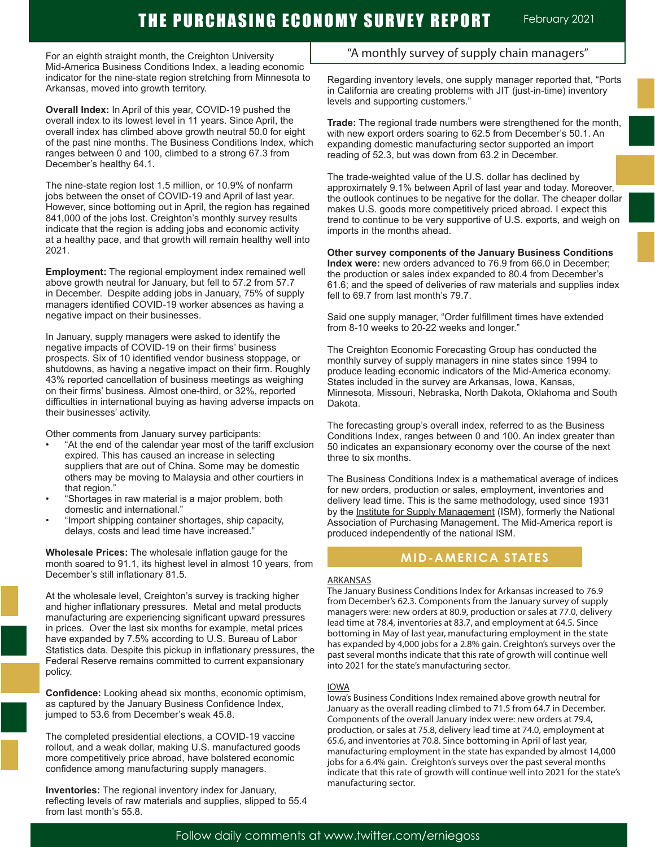For an eighth straight month, the Creighton University Mid-America Business Conditions Index, a leading economic indicator for the nine-state region stretching from Minnesota to Arkansas, moved into growth territory.

**Overall Index:** In April of this year, COVID-19 pushed the overall index to its lowest level in 11 years. Since April, the overall index has climbed above growth neutral 50.0 for eight of the past nine months. The Business Conditions Index, which ranges between 0 and 100, climbed to a strong 67.3 from December's healthy 64.1.

The nine-state region lost 1.5 million, or 10.9% of nonfarm jobs between the onset of COVID-19 and April of last year. However, since bottoming out in April, the region has regained 841,000 of the jobs lost. Creighton's monthly survey results indicate that the region is adding jobs and economic activity at a healthy pace, and that growth will remain healthy well into 2021.

**Employment:** The regional employment index remained well above growth neutral for January, but fell to 57.2 from 57.7 in December. Despite adding jobs in January, 75% of supply managers identified COVID-19 worker absences as having a negative impact on their businesses.

In January, supply managers were asked to identify the negative impacts of COVID-19 on their firms' business prospects. Six of 10 identified vendor business stoppage, or shutdowns, as having a negative impact on their firm. Roughly 43% reported cancellation of business meetings as weighing on their firms' business. Almost one-third, or 32%, reported difficulties in international buying as having adverse impacts on their businesses' activity.

Other comments from January survey participants:

- "At the end of the calendar year most of the tariff exclusion expired. This has caused an increase in selecting suppliers that are out of China. Some may be domestic others may be moving to Malaysia and other courtiers in that region."
- "Shortages in raw material is a major problem, both domestic and international."
- "Import shipping container shortages, ship capacity, delays, costs and lead time have increased."

**Wholesale Prices:** The wholesale inflation gauge for the month soared to 91.1, its highest level in almost 10 years, from December's still inflationary 81.5.

At the wholesale level, Creighton's survey is tracking higher and higher inflationary pressures. Metal and metal products manufacturing are experiencing significant upward pressures in prices. Over the last six months for example, metal prices have expanded by 7.5% according to U.S. Bureau of Labor Statistics data. Despite this pickup in inflationary pressures, the Federal Reserve remains committed to current expansionary policy.

**Confidence:** Looking ahead six months, economic optimism, as captured by the January Business Confidence Index, jumped to 53.6 from December's weak 45.8.

The completed presidential elections, a COVID-19 vaccine rollout, and a weak dollar, making U.S. manufactured goods more competitively price abroad, have bolstered economic confidence among manufacturing supply managers.

**Inventories:** The regional inventory index for January, reflecting levels of raw materials and supplies, slipped to 55.4 from last month's 55.8.

# "A monthly survey of supply chain managers"

Regarding inventory levels, one supply manager reported that, "Ports in California are creating problems with JIT (just-in-time) inventory levels and supporting customers."

**Trade:** The regional trade numbers were strengthened for the month, with new export orders soaring to 62.5 from December's 50.1. An expanding domestic manufacturing sector supported an import reading of 52.3, but was down from 63.2 in December.

The trade-weighted value of the U.S. dollar has declined by approximately 9.1% between April of last year and today. Moreover, the outlook continues to be negative for the dollar. The cheaper dollar makes U.S. goods more competitively priced abroad. I expect this trend to continue to be very supportive of U.S. exports, and weigh on imports in the months ahead.

**Other survey components of the January Business Conditions Index were:** new orders advanced to 76.9 from 66.0 in December; the production or sales index expanded to 80.4 from December's 61.6; and the speed of deliveries of raw materials and supplies index fell to 69.7 from last month's 79.7.

Said one supply manager, "Order fulfillment times have extended from 8-10 weeks to 20-22 weeks and longer."

The Creighton Economic Forecasting Group has conducted the monthly survey of supply managers in nine states since 1994 to produce leading economic indicators of the Mid-America economy. States included in the survey are Arkansas, Iowa, Kansas, Minnesota, Missouri, Nebraska, North Dakota, Oklahoma and South Dakota.

The forecasting group's overall index, referred to as the Business Conditions Index, ranges between 0 and 100. An index greater than 50 indicates an expansionary economy over the course of the next three to six months.

The Business Conditions Index is a mathematical average of indices for new orders, production or sales, employment, inventories and delivery lead time. This is the same methodology, used since 1931 by the Institute for Supply Management (ISM), formerly the National Association of Purchasing Management. The Mid-America report is produced independently of the national ISM.

# **MID-AMERICA STATES**

#### ARKANSAS

The January Business Conditions Index for Arkansas increased to 76.9 from December's 62.3. Components from the January survey of supply managers were: new orders at 80.9, production or sales at 77.0, delivery lead time at 78.4, inventories at 83.7, and employment at 64.5. Since bottoming in May of last year, manufacturing employment in the state has expanded by 4,000 jobs for a 2.8% gain. Creighton's surveys over the past several months indicate that this rate of growth will continue well into 2021 for the state's manufacturing sector.

#### IOWA

Iowa's Business Conditions Index remained above growth neutral for January as the overall reading climbed to 71.5 from 64.7 in December. Components of the overall January index were: new orders at 79.4, production, or sales at 75.8, delivery lead time at 74.0, employment at 65.6, and inventories at 70.8. Since bottoming in April of last year, manufacturing employment in the state has expanded by almost 14,000 jobs for a 6.4% gain. Creighton's surveys over the past several months indicate that this rate of growth will continue well into 2021 for the state's manufacturing sector.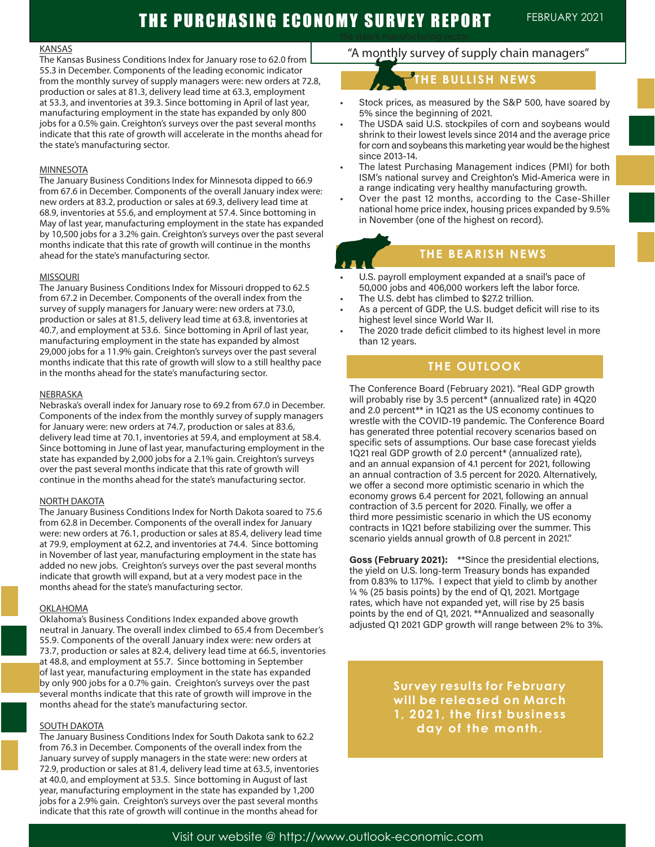# THE PURCHASING ECONOMY SURVEY REPORT FEBRUARY 2021

#### KANSAS

The Kansas Business Conditions Index for January rose to 62.0 from 55.3 in December. Components of the leading economic indicator from the monthly survey of supply managers were: new orders at 72.8, production or sales at 81.3, delivery lead time at 63.3, employment at 53.3, and inventories at 39.3. Since bottoming in April of last year, manufacturing employment in the state has expanded by only 800 jobs for a 0.5% gain. Creighton's surveys over the past several months indicate that this rate of growth will accelerate in the months ahead for the state's manufacturing sector.

#### MINNESOTA

The January Business Conditions Index for Minnesota dipped to 66.9 from 67.6 in December. Components of the overall January index were: new orders at 83.2, production or sales at 69.3, delivery lead time at 68.9, inventories at 55.6, and employment at 57.4. Since bottoming in May of last year, manufacturing employment in the state has expanded by 10,500 jobs for a 3.2% gain. Creighton's surveys over the past several months indicate that this rate of growth will continue in the months ahead for the state's manufacturing sector.

#### MISSOURI

The January Business Conditions Index for Missouri dropped to 62.5 from 67.2 in December. Components of the overall index from the survey of supply managers for January were: new orders at 73.0, production or sales at 81.5, delivery lead time at 63.8, inventories at 40.7, and employment at 53.6. Since bottoming in April of last year, manufacturing employment in the state has expanded by almost 29,000 jobs for a 11.9% gain. Creighton's surveys over the past several months indicate that this rate of growth will slow to a still healthy pace in the months ahead for the state's manufacturing sector.

#### NEBRASKA

Nebraska's overall index for January rose to 69.2 from 67.0 in December. Components of the index from the monthly survey of supply managers for January were: new orders at 74.7, production or sales at 83.6, delivery lead time at 70.1, inventories at 59.4, and employment at 58.4. Since bottoming in June of last year, manufacturing employment in the state has expanded by 2,000 jobs for a 2.1% gain. Creighton's surveys over the past several months indicate that this rate of growth will continue in the months ahead for the state's manufacturing sector.

#### NORTH DAKOTA

The January Business Conditions Index for North Dakota soared to 75.6 from 62.8 in December. Components of the overall index for January were: new orders at 76.1, production or sales at 85.4, delivery lead time at 79.9, employment at 62.2, and inventories at 74.4. Since bottoming in November of last year, manufacturing employment in the state has added no new jobs. Creighton's surveys over the past several months indicate that growth will expand, but at a very modest pace in the months ahead for the state's manufacturing sector.

#### OKLAHOMA

Oklahoma's Business Conditions Index expanded above growth neutral in January. The overall index climbed to 65.4 from December's 55.9. Components of the overall January index were: new orders at 73.7, production or sales at 82.4, delivery lead time at 66.5, inventories at 48.8, and employment at 55.7. Since bottoming in September of last year, manufacturing employment in the state has expanded by only 900 jobs for a 0.7% gain. Creighton's surveys over the past several months indicate that this rate of growth will improve in the months ahead for the state's manufacturing sector.

#### SOUTH DAKOTA

The January Business Conditions Index for South Dakota sank to 62.2 from 76.3 in December. Components of the overall index from the January survey of supply managers in the state were: new orders at 72.9, production or sales at 81.4, delivery lead time at 63.5, inventories at 40.0, and employment at 53.5. Since bottoming in August of last year, manufacturing employment in the state has expanded by 1,200 jobs for a 2.9% gain. Creighton's surveys over the past several months indicate that this rate of growth will continue in the months ahead for

# "A monthly survey of supply chain managers"

# **THE BULLISH NEWS**

- Stock prices, as measured by the S&P 500, have soared by 5% since the beginning of 2021.
- The USDA said U.S. stockpiles of corn and soybeans would shrink to their lowest levels since 2014 and the average price for corn and soybeans this marketing year would be the highest since 2013-14.
- The latest Purchasing Management indices (PMI) for both ISM's national survey and Creighton's Mid-America were in a range indicating very healthy manufacturing growth.
- Over the past 12 months, according to the Case-Shiller national home price index, housing prices expanded by 9.5% in November (one of the highest on record).

# **THE BEARISH NEWS**

- U.S. payroll employment expanded at a snail's pace of 50,000 jobs and 406,000 workers left the labor force.
- The U.S. debt has climbed to \$27.2 trillion.
- As a percent of GDP, the U.S. budget deficit will rise to its highest level since World War II.
- The 2020 trade deficit climbed to its highest level in more than 12 years.

# **THE OUTLOOK**

The Conference Board (February 2021). "Real GDP growth will probably rise by 3.5 percent\* (annualized rate) in 4Q20 and 2.0 percent\*\* in 1Q21 as the US economy continues to wrestle with the COVID-19 pandemic. The Conference Board has generated three potential recovery scenarios based on specific sets of assumptions. Our base case forecast yields 1Q21 real GDP growth of 2.0 percent\* (annualized rate), and an annual expansion of 4.1 percent for 2021, following an annual contraction of 3.5 percent for 2020. Alternatively, we offer a second more optimistic scenario in which the economy grows 6.4 percent for 2021, following an annual contraction of 3.5 percent for 2020. Finally, we offer a third more pessimistic scenario in which the US economy contracts in 1Q21 before stabilizing over the summer. This scenario yields annual growth of 0.8 percent in 2021."

**Goss (February 2021):** \*\*Since the presidential elections, the yield on U.S. long-term Treasury bonds has expanded from 0.83% to 1.17%. I expect that yield to climb by another ¼ % (25 basis points) by the end of Q1, 2021. Mortgage rates, which have not expanded yet, will rise by 25 basis points by the end of Q1, 2021. \*\*Annualized and seasonally adjusted Q1 2021 GDP growth will range between 2% to 3%.

> **Survey results for February will be released on March 1, 2021, the first business day of the month.**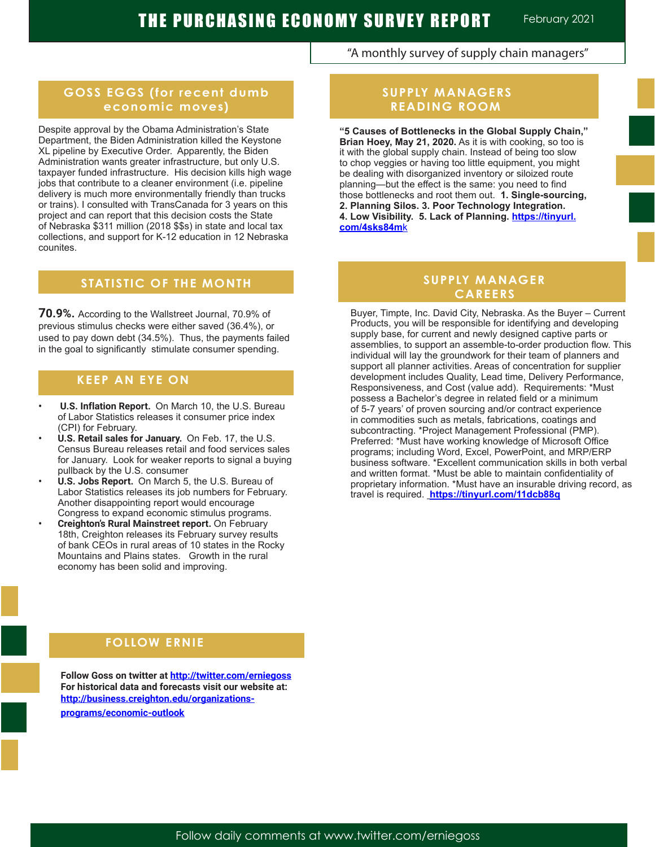"A monthly survey of supply chain managers"

# **GOSS EGGS (for recent dumb economic moves)**

Despite approval by the Obama Administration's State Department, the Biden Administration killed the Keystone XL pipeline by Executive Order. Apparently, the Biden Administration wants greater infrastructure, but only U.S. taxpayer funded infrastructure. His decision kills high wage jobs that contribute to a cleaner environment (i.e. pipeline delivery is much more environmentally friendly than trucks or trains). I consulted with TransCanada for 3 years on this project and can report that this decision costs the State of Nebraska \$311 million (2018 \$\$s) in state and local tax collections, and support for K-12 education in 12 Nebraska counites.

# **STATISTIC OF THE MONTH**

**70.9%.** According to the Wallstreet Journal, 70.9% of previous stimulus checks were either saved (36.4%), or used to pay down debt (34.5%). Thus, the payments failed in the goal to significantly stimulate consumer spending.

# **KEEP AN EYE ON**

- **• U.S. Inflation Report.** On March 10, the U.S. Bureau of Labor Statistics releases it consumer price index (CPI) for February.
- **• U.S. Retail sales for January.** On Feb. 17, the U.S. Census Bureau releases retail and food services sales for January. Look for weaker reports to signal a buying pullback by the U.S. consumer
- **• U.S. Jobs Report.** On March 5, the U.S. Bureau of Labor Statistics releases its job numbers for February. Another disappointing report would encourage Congress to expand economic stimulus programs.
- **• Creighton's Rural Mainstreet report.** On February 18th, Creighton releases its February survey results of bank CEOs in rural areas of 10 states in the Rocky Mountains and Plains states. Growth in the rural economy has been solid and improving.

# **SUPPLY MANAGERS READING ROOM**

**"5 Causes of Bottlenecks in the Global Supply Chain," Brian Hoey, May 21, 2020.** As it is with cooking, so too is it with the global supply chain. Instead of being too slow to chop veggies or having too little equipment, you might be dealing with disorganized inventory or siloized route planning—but the effect is the same: you need to find those bottlenecks and root them out. **1. Single-sourcing, 2. Planning Silos. 3. Poor Technology Integration. 4. Low Visibility. 5. Lack of Planning. https://tinyurl. com/4sks84m**k

# **SUPPLY MANAGER CAREERS**

Buyer, Timpte, Inc. David City, Nebraska. As the Buyer – Current Products, you will be responsible for identifying and developing supply base, for current and newly designed captive parts or assemblies, to support an assemble-to-order production flow. This individual will lay the groundwork for their team of planners and support all planner activities. Areas of concentration for supplier development includes Quality, Lead time, Delivery Performance, Responsiveness, and Cost (value add). Requirements: \*Must possess a Bachelor's degree in related field or a minimum of 5-7 years' of proven sourcing and/or contract experience in commodities such as metals, fabrications, coatings and subcontracting. \*Project Management Professional (PMP). Preferred: \*Must have working knowledge of Microsoft Office programs; including Word, Excel, PowerPoint, and MRP/ERP business software. \*Excellent communication skills in both verbal and written format. \*Must be able to maintain confidentiality of proprietary information. \*Must have an insurable driving record, as travel is required. **https://tinyurl.com/11dcb88q**

# **FOLLOW ERNIE A FOLLOW ERNIE**

**Follow Goss on twitter at http://twitter.com/erniegoss For historical data and forecasts visit our website at: http://business.creighton.edu/organizationsprograms/economic-outlook**